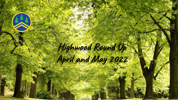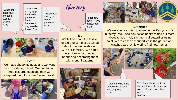"When the chocolate melted it was all sticky!" Cleo

"I found so many eggs but I had to put some back because I only needed three!" Eva "I got a new dress, just like a princess!" Isha



"I got new toys. It was a new car!" Dani

## **Eid**

We talked about the festival of Eid and some of us talked about how we celebrated with our families. We had a go at drawing around our hands and decorating them with mendhi patterns.



## **Butterflies**

We were very excited to observe the life-cycle of a butterfly. We used non-fiction books to find out more about it. We made symmetrical butterflies using paint. We released six butterflies in the garden and watched as they flew off to find new homes.



"I wanted to hold the butterfly because it was so pretty." Alaia

"The butterflies liked it on the red flowers because we planted those a long time ago." Mason



### **Easter**

We made chocolate nests and we went on an Easter egg hunt. We had to find three coloured eggs and then we swapped them for some Easter treats!

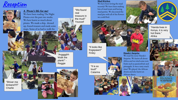# **Reception**



#### **A Pirate's life for me!**

plank!

We have been reading The Night Pirates over the past two weeks. We have learnt so much about pirates. We made a ship, dressed up, found treasure and made some maps. Some of us had to walk the

"We found real treasure in the mud!" Youssef

"Argggghh Walk the plank!" - Reggie

### **Mud Kitchen**

We have been loving the mud recently! We have been making lots of mud treats and having mud parties. We decorated the mud pies with all of the flowers we could find.

"It looks like frogspawn!" Finley

> "It is so loud!" **Catarina**

## **Handa's Surprise**

We read the story Handa's Surprise. We learnt all about Africa and we tried some new fruits such as passionfruit and pineapple. It was a tasty snack time! We played the African drums and also learnt an African dance.





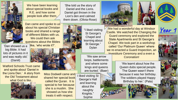

We have been learning about special books and R.E. and how some people look after them.

Dan came and spoke to us about his special Christian books and shared a range of different Bibles with us. We could then ask questions about the Bibles

'Dan showed us a big Bible. It had lots of pictures in it and was really old.' (Daniil)

Watford Schools Trust came and spoke about 'Daniel in the Lions Den.' A story from the Old Testament about what God is like..



like, 'who wrote it?'.

**Miss Dodwell came and** shared her special book called the Quran. It is special to her because she is a muslim. She showed us how she treats it with respect.

'She told us the story of Daniel and the Lions. Daniel got thrown in the Lion's den and calmed them down. (Olivia-Rose)



"I liked visiting St George's Chapel and learning about St George." Dylan

'We saw arrow loops, battlements and where some kings and queens are buried.' (Baer)

I liked visiting St George's Hall and learning about the naughty Knights." Sophie



We had a wonderful day at Windsor Castle. We watched the Changing the Guard ceremony and explored the State Apartments and St George's Chapel. We took part in a workshop called 'Our Platinum Queen' where we re-enacted a Guard Inspection, an Investiture Ceremony and a even a Coronation!





**Year 1**



'We learnt about how the Queen dubs special people. The Queen wasn't there because it was her birthday. The soldiers played Happy Birthday to her.' (Pala)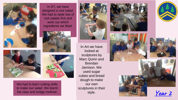









We had to learn cutting skills to make our salad. We learnt the claw and bridge method.



In Art we have looked at sculptures by Marc Quinn and Brendan Jamison. We used sugar cubes and bread dough to make our own sculptures in their style.









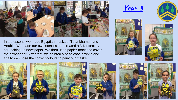

In art lessons, we made Egyptian masks of Tutankhamun and Anubis. We made our own stencils and created a 3-D effect by scrunching up newspaper. We then used papier-mache to cover the newspaper. After that, we painted a base coat in white and finally we chose the correct colours to paint our masks.

**Year 3**











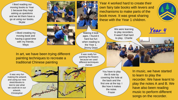I liked reading our moving books to Year 1 because they kept asking us questions and we let them have a go at using our books. Skylar

> moving book and having a good time with my friends. Maya





Making it took ages. I found it hard but fun when reading to the Year 1. Jimmy Dean

own fairy tale books with levers and mechanisms to make parts of the book move. It was great sharing these with the Year 1 children.

Year 4 worked hard to create their

We were learning to play recorders. It wasn't that hard to play. Charlie



In art, we have been trying different painting techniques to recreate a traditional Chinese painting

It was really fun painting the flowers because we used different techniques Zainab

It was very fun making the artwork and using our new sketchbooks to test to see what we could do in our artwork. Christopher



You have to play the B note by covering the hole at the back and the first one at the top. I like how it makes the noise. Frazer

In music, we have started to learn to play the recorder. We have learnt to play the notes A and B. We have also been reading music to perform different songs on the recorder.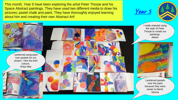This month, Year 5 have been exploring the artist Peter Thorpe and his Space Abstract paintings. They have used two different media to draw his pictures; pastel chalk and paint. They have thoroughly enjoyed learning about him and creating their own Abstract Art!

**Year 5**



I really enjoyed using the style of Peter Thorpe to create our paintings. *Meher*

I preferred pastels over the paint because they were easier to blend. *Sienna*